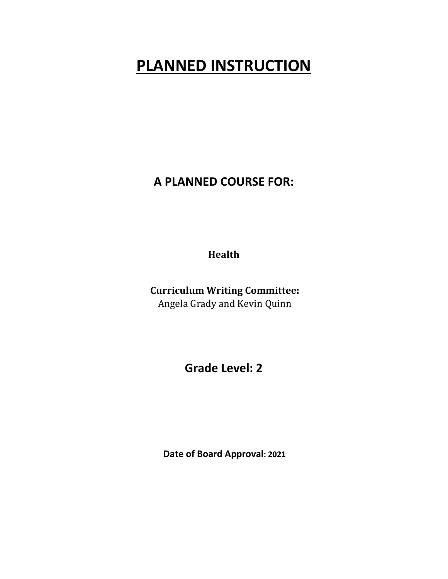# **PLANNED INSTRUCTION**

**A PLANNED COURSE FOR:** 

**Health**

**Curriculum Writing Committee:** Angela Grady and Kevin Quinn

**Grade Level: 2** 

 **Date of Board Approval: 2021**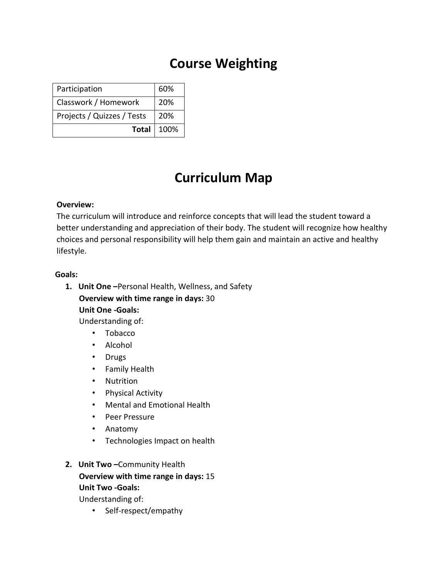### **Course Weighting**

| Participation              | 60% |
|----------------------------|-----|
| Classwork / Homework       | 20% |
| Projects / Quizzes / Tests | 20% |
| <b>Total</b> 100%          |     |

## **Curriculum Map**

#### **Overview:**

The curriculum will introduce and reinforce concepts that will lead the student toward a better understanding and appreciation of their body. The student will recognize how healthy choices and personal responsibility will help them gain and maintain an active and healthy lifestyle.

#### **Goals:**

- **1. Unit One –**Personal Health, Wellness, and Safety **Overview with time range in days:** 30 **Unit One ‐Goals:**  Understanding of:
	- Tobacco
	- Alcohol
	- Drugs
	- Family Health
	- Nutrition
	- Physical Activity
	- Mental and Emotional Health
	- Peer Pressure
	- Anatomy
	- Technologies Impact on health

#### **2. Unit Two –**Community Health

#### **Overview with time range in days:** 15 **Unit Two ‐Goals:**

Understanding of:

• Self-respect/empathy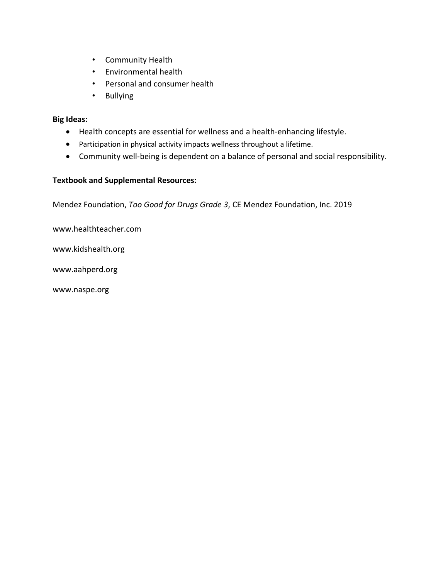- Community Health
- Environmental health
- Personal and consumer health
- Bullying

#### **Big Ideas:**

- Health concepts are essential for wellness and a health-enhancing lifestyle.
- Participation in physical activity impacts wellness throughout a lifetime.
- Community well-being is dependent on a balance of personal and social responsibility.

#### **Textbook and Supplemental Resources:**

Mendez Foundation, *Too Good for Drugs Grade 3*, CE Mendez Foundation, Inc. 2019

www.healthteacher.com

www.kidshealth.org

www.aahperd.org

www.naspe.org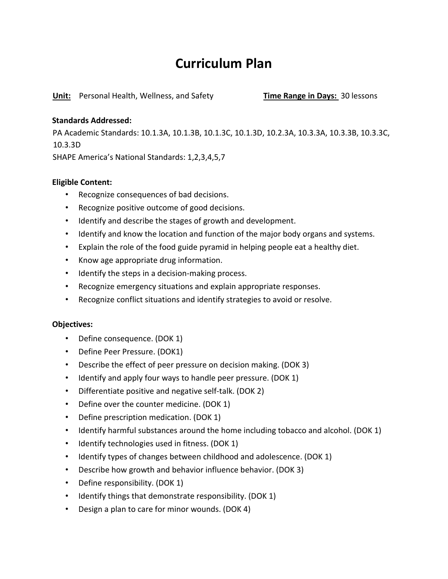### **Curriculum Plan**

**Unit:** Personal Health, Wellness, and Safety **Time Range in Days:** 30 lessons

#### **Standards Addressed:**

PA Academic Standards: 10.1.3A, 10.1.3B, 10.1.3C, 10.1.3D, 10.2.3A, 10.3.3A, 10.3.3B, 10.3.3C, 10.3.3D

SHAPE America's National Standards: 1,2,3,4,5,7

#### **Eligible Content:**

- Recognize consequences of bad decisions.
- Recognize positive outcome of good decisions.
- Identify and describe the stages of growth and development.
- Identify and know the location and function of the major body organs and systems.
- Explain the role of the food guide pyramid in helping people eat a healthy diet.
- Know age appropriate drug information.
- Identify the steps in a decision-making process.
- Recognize emergency situations and explain appropriate responses.
- Recognize conflict situations and identify strategies to avoid or resolve.

#### **Objectives:**

- Define consequence. (DOK 1)
- Define Peer Pressure. (DOK1)
- Describe the effect of peer pressure on decision making. (DOK 3)
- Identify and apply four ways to handle peer pressure. (DOK 1)
- Differentiate positive and negative self-talk. (DOK 2)
- Define over the counter medicine. (DOK 1)
- Define prescription medication. (DOK 1)
- Identify harmful substances around the home including tobacco and alcohol. (DOK 1)
- Identify technologies used in fitness. (DOK 1)
- Identify types of changes between childhood and adolescence. (DOK 1)
- Describe how growth and behavior influence behavior. (DOK 3)
- Define responsibility. (DOK 1)
- Identify things that demonstrate responsibility. (DOK 1)
- Design a plan to care for minor wounds. (DOK 4)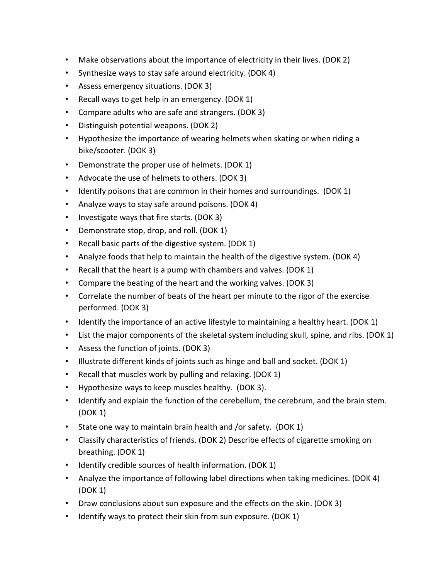- Make observations about the importance of electricity in their lives. (DOK 2)
- Synthesize ways to stay safe around electricity. (DOK 4)
- Assess emergency situations. (DOK 3)
- Recall ways to get help in an emergency. (DOK 1)
- Compare adults who are safe and strangers. (DOK 3)
- Distinguish potential weapons. (DOK 2)
- Hypothesize the importance of wearing helmets when skating or when riding a bike/scooter. (DOK 3)
- Demonstrate the proper use of helmets. (DOK 1)
- Advocate the use of helmets to others. (DOK 3)
- Identify poisons that are common in their homes and surroundings. (DOK 1)
- Analyze ways to stay safe around poisons. (DOK 4)
- Investigate ways that fire starts. (DOK 3)
- Demonstrate stop, drop, and roll. (DOK 1)
- Recall basic parts of the digestive system. (DOK 1)
- Analyze foods that help to maintain the health of the digestive system. (DOK 4)
- Recall that the heart is a pump with chambers and valves. (DOK 1)
- Compare the beating of the heart and the working valves. (DOK 3)
- Correlate the number of beats of the heart per minute to the rigor of the exercise performed. (DOK 3)
- Identify the importance of an active lifestyle to maintaining a healthy heart. (DOK 1)
- List the major components of the skeletal system including skull, spine, and ribs. (DOK 1)
- Assess the function of joints. (DOK 3)
- Illustrate different kinds of joints such as hinge and ball and socket. (DOK 1)
- Recall that muscles work by pulling and relaxing. (DOK 1)
- Hypothesize ways to keep muscles healthy. (DOK 3).
- Identify and explain the function of the cerebellum, the cerebrum, and the brain stem. (DOK 1)
- State one way to maintain brain health and /or safety. (DOK 1)
- Classify characteristics of friends. (DOK 2) Describe effects of cigarette smoking on breathing. (DOK 1)
- Identify credible sources of health information. (DOK 1)
- Analyze the importance of following label directions when taking medicines. (DOK 4) (DOK 1)
- Draw conclusions about sun exposure and the effects on the skin. (DOK 3)
- Identify ways to protect their skin from sun exposure. (DOK 1)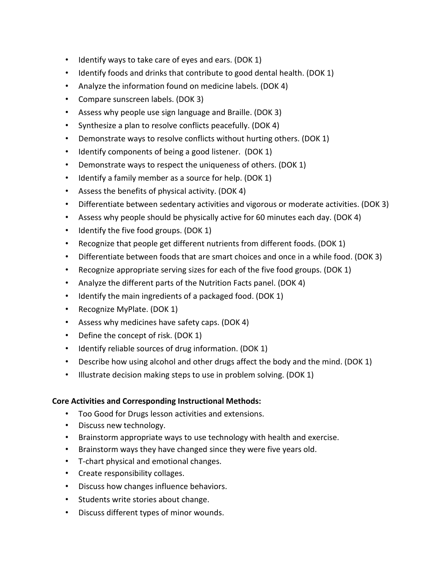- Identify ways to take care of eyes and ears. (DOK 1)
- Identify foods and drinks that contribute to good dental health. (DOK 1)
- Analyze the information found on medicine labels. (DOK 4)
- Compare sunscreen labels. (DOK 3)
- Assess why people use sign language and Braille. (DOK 3)
- Synthesize a plan to resolve conflicts peacefully. (DOK 4)
- Demonstrate ways to resolve conflicts without hurting others. (DOK 1)
- Identify components of being a good listener. (DOK 1)
- Demonstrate ways to respect the uniqueness of others. (DOK 1)
- Identify a family member as a source for help. (DOK 1)
- Assess the benefits of physical activity. (DOK 4)
- Differentiate between sedentary activities and vigorous or moderate activities. (DOK 3)
- Assess why people should be physically active for 60 minutes each day. (DOK 4)
- Identify the five food groups. (DOK 1)
- Recognize that people get different nutrients from different foods. (DOK 1)
- Differentiate between foods that are smart choices and once in a while food. (DOK 3)
- Recognize appropriate serving sizes for each of the five food groups. (DOK 1)
- Analyze the different parts of the Nutrition Facts panel. (DOK 4)
- Identify the main ingredients of a packaged food. (DOK 1)
- Recognize MyPlate. (DOK 1)
- Assess why medicines have safety caps. (DOK 4)
- Define the concept of risk. (DOK 1)
- Identify reliable sources of drug information. (DOK 1)
- Describe how using alcohol and other drugs affect the body and the mind. (DOK 1)
- Illustrate decision making steps to use in problem solving. (DOK 1)

#### **Core Activities and Corresponding Instructional Methods:**

- Too Good for Drugs lesson activities and extensions.
- Discuss new technology.
- Brainstorm appropriate ways to use technology with health and exercise.
- Brainstorm ways they have changed since they were five years old.
- T-chart physical and emotional changes.
- Create responsibility collages.
- Discuss how changes influence behaviors.
- Students write stories about change.
- Discuss different types of minor wounds.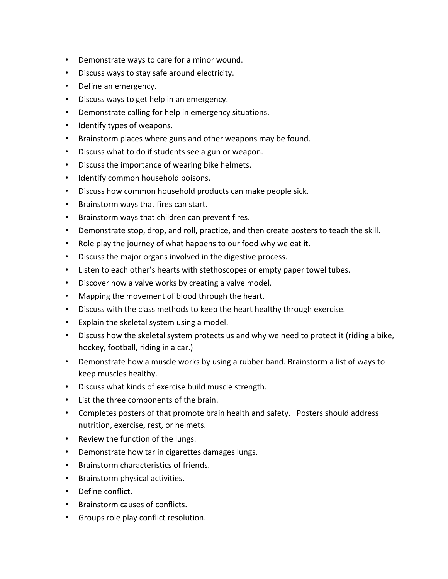- Demonstrate ways to care for a minor wound.
- Discuss ways to stay safe around electricity.
- Define an emergency.
- Discuss ways to get help in an emergency.
- Demonstrate calling for help in emergency situations.
- Identify types of weapons.
- Brainstorm places where guns and other weapons may be found.
- Discuss what to do if students see a gun or weapon.
- Discuss the importance of wearing bike helmets.
- Identify common household poisons.
- Discuss how common household products can make people sick.
- Brainstorm ways that fires can start.
- Brainstorm ways that children can prevent fires.
- Demonstrate stop, drop, and roll, practice, and then create posters to teach the skill.
- Role play the journey of what happens to our food why we eat it.
- Discuss the major organs involved in the digestive process.
- Listen to each other's hearts with stethoscopes or empty paper towel tubes.
- Discover how a valve works by creating a valve model.
- Mapping the movement of blood through the heart.
- Discuss with the class methods to keep the heart healthy through exercise.
- Explain the skeletal system using a model.
- Discuss how the skeletal system protects us and why we need to protect it (riding a bike, hockey, football, riding in a car.)
- Demonstrate how a muscle works by using a rubber band. Brainstorm a list of ways to keep muscles healthy.
- Discuss what kinds of exercise build muscle strength.
- List the three components of the brain.
- Completes posters of that promote brain health and safety. Posters should address nutrition, exercise, rest, or helmets.
- Review the function of the lungs.
- Demonstrate how tar in cigarettes damages lungs.
- Brainstorm characteristics of friends.
- Brainstorm physical activities.
- Define conflict.
- Brainstorm causes of conflicts.
- Groups role play conflict resolution.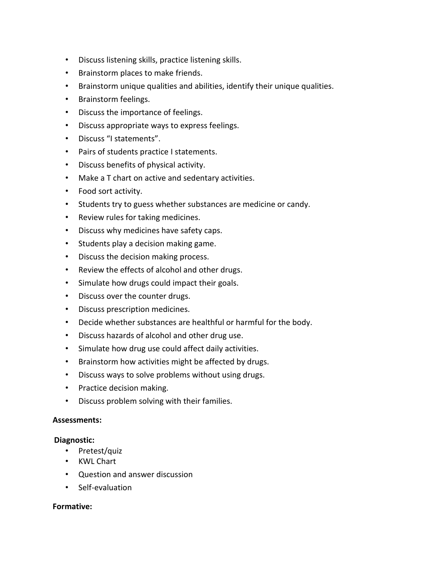- Discuss listening skills, practice listening skills.
- Brainstorm places to make friends.
- Brainstorm unique qualities and abilities, identify their unique qualities.
- Brainstorm feelings.
- Discuss the importance of feelings.
- Discuss appropriate ways to express feelings.
- Discuss "I statements".
- Pairs of students practice I statements.
- Discuss benefits of physical activity.
- Make a T chart on active and sedentary activities.
- Food sort activity.
- Students try to guess whether substances are medicine or candy.
- Review rules for taking medicines.
- Discuss why medicines have safety caps.
- Students play a decision making game.
- Discuss the decision making process.
- Review the effects of alcohol and other drugs.
- Simulate how drugs could impact their goals.
- Discuss over the counter drugs.
- Discuss prescription medicines.
- Decide whether substances are healthful or harmful for the body.
- Discuss hazards of alcohol and other drug use.
- Simulate how drug use could affect daily activities.
- Brainstorm how activities might be affected by drugs.
- Discuss ways to solve problems without using drugs.
- Practice decision making.
- Discuss problem solving with their families.

#### **Assessments:**

#### **Diagnostic:**

- Pretest/quiz
- KWL Chart
- Question and answer discussion
- Self-evaluation

#### **Formative:**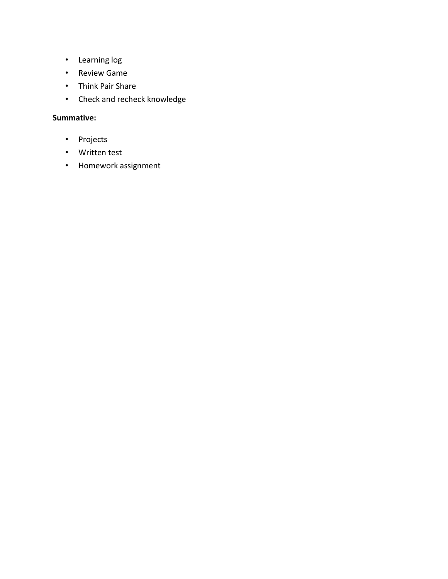- Learning log
- Review Game
- Think Pair Share
- Check and recheck knowledge

### **Summative:**

- Projects
- Written test
- Homework assignment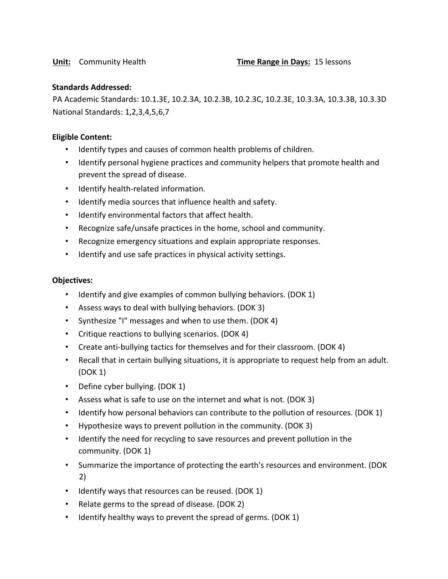#### **Standards Addressed:**

PA Academic Standards: 10.1.3E, 10.2.3A, 10.2.3B, 10.2.3C, 10.2.3E, 10.3.3A, 10.3.3B, 10.3.3D National Standards: 1,2,3,4,5,6,7

#### **Eligible Content:**

- Identify types and causes of common health problems of children.
- Identify personal hygiene practices and community helpers that promote health and prevent the spread of disease.
- Identify health-related information.
- Identify media sources that influence health and safety.
- Identify environmental factors that affect health.
- Recognize safe/unsafe practices in the home, school and community.
- Recognize emergency situations and explain appropriate responses.
- Identify and use safe practices in physical activity settings.

#### **Objectives:**

- Identify and give examples of common bullying behaviors. (DOK 1)
- Assess ways to deal with bullying behaviors. (DOK 3)
- Synthesize "I" messages and when to use them. (DOK 4)
- Critique reactions to bullying scenarios. (DOK 4)
- Create anti-bullying tactics for themselves and for their classroom. (DOK 4)
- Recall that in certain bullying situations, it is appropriate to request help from an adult. (DOK 1)
- Define cyber bullying. (DOK 1)
- Assess what is safe to use on the internet and what is not. (DOK 3)
- Identify how personal behaviors can contribute to the pollution of resources. (DOK 1)
- Hypothesize ways to prevent pollution in the community. (DOK 3)
- Identify the need for recycling to save resources and prevent pollution in the community. (DOK 1)
- Summarize the importance of protecting the earth's resources and environment. (DOK 2)
- Identify ways that resources can be reused. (DOK 1)
- Relate germs to the spread of disease. (DOK 2)
- Identify healthy ways to prevent the spread of germs. (DOK 1)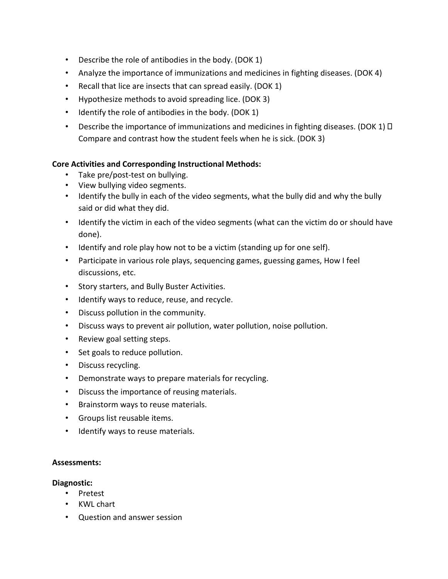- Describe the role of antibodies in the body. (DOK 1)
- Analyze the importance of immunizations and medicines in fighting diseases. (DOK 4)
- Recall that lice are insects that can spread easily. (DOK 1)
- Hypothesize methods to avoid spreading lice. (DOK 3)
- Identify the role of antibodies in the body. (DOK 1)
- Describe the importance of immunizations and medicines in fighting diseases. (DOK 1)  $\Box$ Compare and contrast how the student feels when he is sick. (DOK 3)

#### **Core Activities and Corresponding Instructional Methods:**

- Take pre/post-test on bullying.
- View bullying video segments.
- Identify the bully in each of the video segments, what the bully did and why the bully said or did what they did.
- Identify the victim in each of the video segments (what can the victim do or should have done).
- Identify and role play how not to be a victim (standing up for one self).
- Participate in various role plays, sequencing games, guessing games, How I feel discussions, etc.
- Story starters, and Bully Buster Activities.
- Identify ways to reduce, reuse, and recycle.
- Discuss pollution in the community.
- Discuss ways to prevent air pollution, water pollution, noise pollution.
- Review goal setting steps.
- Set goals to reduce pollution.
- Discuss recycling.
- Demonstrate ways to prepare materials for recycling.
- Discuss the importance of reusing materials.
- Brainstorm ways to reuse materials.
- Groups list reusable items.
- Identify ways to reuse materials.

#### **Assessments:**

#### **Diagnostic:**

- Pretest
- KWL chart
- Question and answer session